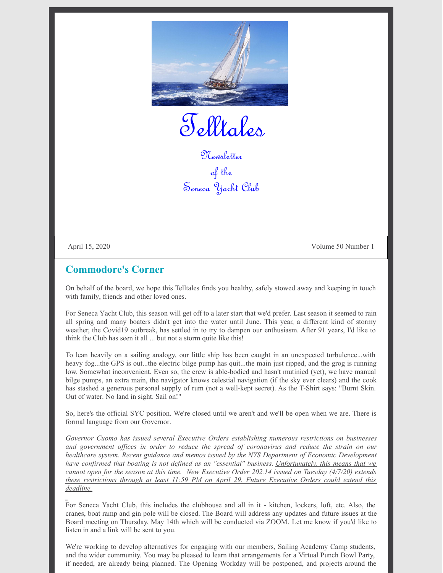

Telltales

Newsletter of the Seneca Yacht Club

April 15, 2020 Volume 50 Number 1

#### **Commodore's Corner**

On behalf of the board, we hope this Telltales finds you healthy, safely stowed away and keeping in touch with family, friends and other loved ones.

For Seneca Yacht Club, this season will get off to a later start that we'd prefer. Last season it seemed to rain all spring and many boaters didn't get into the water until June. This year, a different kind of stormy weather, the Covid19 outbreak, has settled in to try to dampen our enthusiasm. After 91 years, I'd like to think the Club has seen it all ... but not a storm quite like this!

To lean heavily on a sailing analogy, our little ship has been caught in an unexpected turbulence...with heavy fog...the GPS is out...the electric bilge pump has quit...the main just ripped, and the grog is running low. Somewhat inconvenient. Even so, the crew is able-bodied and hasn't mutinied (yet), we have manual bilge pumps, an extra main, the navigator knows celestial navigation (if the sky ever clears) and the cook has stashed a generous personal supply of rum (not a well-kept secret). As the T-Shirt says: "Burnt Skin. Out of water. No land in sight. Sail on!"

So, here's the official SYC position. We're closed until we aren't and we'll be open when we are. There is formal language from our Governor.

*Governor Cuomo has issued several Executive Orders establishing numerous restrictions on businesses and government of ices in order to reduce the spread of coronavirus and reduce the strain on our healthcare system. Recent guidance and memos issued by the NYS Department of Economic Development have confirmed that boating is not defined as an "essential" business. Unfortunately, this means that we cannot open for the season at this time. New Executive Order 202.14 issued on Tuesday (4/7/20) extends these restrictions through at least 11:59 PM on April 29. Future Executive Orders could extend this deadline.*

For Seneca Yacht Club, this includes the clubhouse and all in it - kitchen, lockers, loft, etc. Also, the cranes, boat ramp and gin pole will be closed. The Board will address any updates and future issues at the Board meeting on Thursday, May 14th which will be conducted via ZOOM. Let me know if you'd like to listen in and a link will be sent to you.

We're working to develop alternatives for engaging with our members, Sailing Academy Camp students, and the wider community. You may be pleased to learn that arrangements for a Virtual Punch Bowl Party, if needed, are already being planned. The Opening Workday will be postponed, and projects around the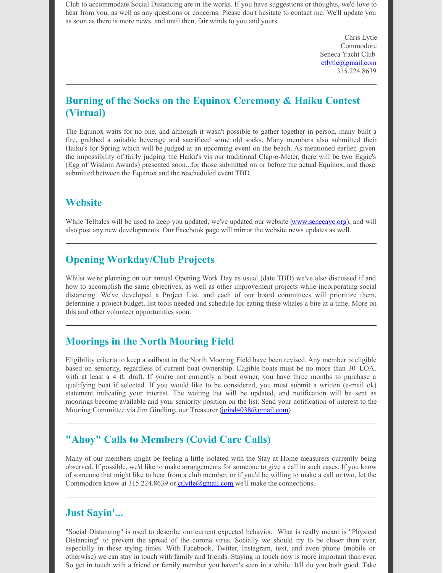Club to accommodate Social Distancing are in the works. If you have suggestions or thoughts, we'd love to hear from you, as well as any questions or concerns. Please don't hesitate to contact me. We'll update you as soon as there is more news, and until then, fair winds to you and yours.

> Chris Lytle Commodore Seneca Yacht Club [ctlytle@gmail.com](mailto:ctlytle@gmail.com) 315.224.8639

# **Burning of the Socks on the Equinox Ceremony & Haiku Contest (Virtual)**

The Equinox waits for no one, and although it wasn't possible to gather together in person, many built a fire, grabbed a suitable beverage and sacrificed some old socks. Many members also submitted their Haiku's for Spring which will be judged at an upcoming event on the beach. As mentioned earlier, given the impossibility of fairly judging the Haiku's vis our traditional Clap-o-Meter, there will be two Eggie's (Egg of Wisdom Awards) presented soon...for those submitted on or before the actual Equinox, and those submitted between the Equinox and the rescheduled event TBD.

#### **Website**

While Telltales will be used to keep you updated, we've updated our website [\(www.senecayc.org](http://senecayc.org/)), and will also post any new developments. Our Facebook page will mirror the website news updates as well.

# **Opening Workday/Club Projects**

Whilst we're planning on our annual Opening Work Day as usual (date TBD) we've also discussed if and how to accomplish the same objectives, as well as other improvement projects while incorporating social distancing. We've developed a Project List, and each of our board committees will prioritize them, determine a project budget, list tools needed and schedule for eating these whales a bite at a time. More on this and other volunteer opportunities soon.

# **Moorings in the North Mooring Field**

Eligibility criteria to keep a sailboat in the North Mooring Field have been revised. Any member is eligible based on seniority, regardless of current boat ownership. Eligible boats must be no more than 30' LOA, with at least a 4 ft. draft. If you're not currently a boat owner, you have three months to purchase a qualifying boat if selected. If you would like to be considered, you must submit a written (e-mail ok) statement indicating your interest. The waiting list will be updated, and notification will be sent as moorings become available and your seniority position on the list. Send your notification of interest to the Mooring Committee via Jim Gindling, our Treasurer [\(jgind4038@gmail.com](mailto:jgind4038@gmail.com))

# **"Ahoy" Calls to Members (Covid Care Calls)**

Many of our members might be feeling a little isolated with the Stay at Home measurers currently being observed. If possible, we'd like to make arrangements for someone to give a call in such cases. If you know of someone that might like to hear from a club member, or if you'd be willing to make a call or two, let the Commodore know at 315.224.8639 or  $\frac{\text{ctlytle}(\text{logmail.com})}{\text{cm}$  we'll make the connections.

#### **Just Sayin'...**

"Social Distancing" is used to describe our current expected behavior. What is really meant is "Physical Distancing" to prevent the spread of the corona virus. Socially we should try to be closer than ever, especially in these trying times. With Facebook, Twitter, Instagram, text, and even phone (mobile or otherwise) we can stay in touch with family and friends. Staying in touch now is more important than ever. So get in touch with a friend or family member you haven's seen in a while. It'll do you both good. Take